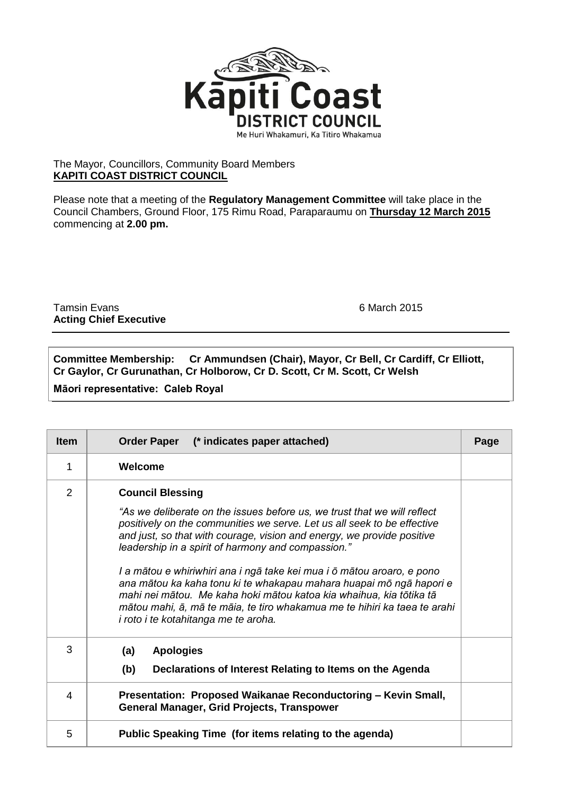

## The Mayor, Councillors, Community Board Members **KAPITI COAST DISTRICT COUNCIL**

Please note that a meeting of the **Regulatory Management Committee** will take place in the Council Chambers, Ground Floor, 175 Rimu Road, Paraparaumu on **Thursday 12 March 2015** commencing at **2.00 pm.**

Tamsin Evans 6 March 2015 **Acting Chief Executive**

**Committee Membership: Cr Ammundsen (Chair), Mayor, Cr Bell, Cr Cardiff, Cr Elliott, Cr Gaylor, Cr Gurunathan, Cr Holborow, Cr D. Scott, Cr M. Scott, Cr Welsh**

**Māori representative: Caleb Royal**

| <b>Item</b> | Order Paper (* indicates paper attached)                                                                                                                                                                                                                                                                                                                                                                                                                                                                                                                                                                                                                           | Page |
|-------------|--------------------------------------------------------------------------------------------------------------------------------------------------------------------------------------------------------------------------------------------------------------------------------------------------------------------------------------------------------------------------------------------------------------------------------------------------------------------------------------------------------------------------------------------------------------------------------------------------------------------------------------------------------------------|------|
| 1           | Welcome                                                                                                                                                                                                                                                                                                                                                                                                                                                                                                                                                                                                                                                            |      |
| 2           | <b>Council Blessing</b><br>"As we deliberate on the issues before us, we trust that we will reflect<br>positively on the communities we serve. Let us all seek to be effective<br>and just, so that with courage, vision and energy, we provide positive<br>leadership in a spirit of harmony and compassion."<br>I a mātou e whiriwhiri ana i ngā take kei mua i ō mātou aroaro, e pono<br>ana mātou ka kaha tonu ki te whakapau mahara huapai mō ngā hapori e<br>mahi nei mātou. Me kaha hoki mātou katoa kia whaihua, kia tōtika tā<br>mātou mahi, ā, mā te māia, te tiro whakamua me te hihiri ka taea te arahi<br><i>i roto i te kotahitanga me te aroha.</i> |      |
| 3           | (a)<br><b>Apologies</b><br>(b)<br>Declarations of Interest Relating to Items on the Agenda                                                                                                                                                                                                                                                                                                                                                                                                                                                                                                                                                                         |      |
| 4           | Presentation: Proposed Waikanae Reconductoring - Kevin Small,<br><b>General Manager, Grid Projects, Transpower</b>                                                                                                                                                                                                                                                                                                                                                                                                                                                                                                                                                 |      |
| 5           | Public Speaking Time (for items relating to the agenda)                                                                                                                                                                                                                                                                                                                                                                                                                                                                                                                                                                                                            |      |